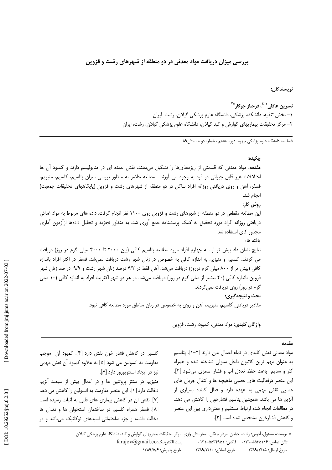بررسی میزان دریافت مواد معدنی در دو منطقه از شهرهای رشت و قزوین

نويسندگان:

نسرين عاقلي<sup>۲٫۱</sup>، فرحناز جوكار<sup>\*۲</sup> ١– بخش تغذيه، دانشكده يزشكي، دانشگاه علوم يزشكي گيلان، رشت، ايران ۲– مرکز تحقیقات بیماریهای گوارش و کبد گیلان، دانشگاه علوم پزشکی گیلان، رشت، ایران

فصلنامه دانشگاه علوم پزشکی جهرم، دوره هشتم ، شماره دو ،تابستان۹۸

جكىدە: مقدمه: مواد معدنی که قسمتی از ریزمغذیها را تشکیل میدهند، نقش عمده ای در متابولیسم دارند و کمبود آن ها اختلالات غیر قابل جبرانی در فرد به وجود می آورند. مطالعه حاضر به منظور بررسی میزان پتاسیم، کلسیم، منیزیم، فسفر، آهن و روی دریافتی روزانه افراد ساکن در دو منطقه از شهرهای رشت و قزوین (پایگاههای تحقیقات جمعیت) انجام شد. روش کار: این مطالعه مقطعی در دو منطقه از شهرهای رشت و قزوین روی ۱۱۰۰ نفر انجام گرفت. داده های مربوط به مواد غذائی دریافتی روزانه افراد مورد تحقیق به کمک پرسشنامه جمع آوری شد. به منظور تجزیه و تحلیل دادمها ازآزمون آماری مجذور كاي استفاده شد. يافته ها: نتایج نشان داد بیش تر از سه چهارم افراد مورد مطالعه پتاسیم کافی (بین ۲۰۰۰ تا ۴۰۰۰ میلی گرم در روز) دریافت می کردند. کلسیم و منیزیم به اندازه کافی به خصوص در زنان شهر رشت دریافت نمیشد. فسفر در اکثر افراد باندازه کافی (بیش تر از ۸۰۰ میلی گرم درروز) دریافت میشد. آهن فقط در ۴/۲ درصد زنان شهر رشت و ۹/۹ در صد زنان شهر قزوین باندازه کافی (۲۰ بیشتر از میلی گرم در روز) دریافت میشد. در هر دو شهر اکثریت افراد به اندازه کافی (۱۰ میلی گرم در روز) روی دریافت نمی کردند. بحث و نتيجه گيري: مقادیر دریافتی کلسیم، منیزیم، آهن و روی به خصوص در زنان مناطق مورد مطالعه کافی نبود.

واژگان كليدى: مواد معدنى، كمبود، رشت، قزوين

### $4.10.$

مواد معدنی نقش کلیدی در تمام اعمال بدن دارند [۲–۱]. پتاسیم به عنوان مهم ترین کاتیون داخل سلولی شناخته شده و همراه كلر و سديم ۖ باعث حفظ تعادل أب و فشار اسمزى مىشود [٢]. این عنصر درفعالیت های عصبی ماهیچه ها و انتقال جریان های عصبی نقش مهمی به عهده دارد و فعال کننده بسیاری از أنزيم ها مي باشد. همچنين پتاسيم فشارخون را كاهش مي دهد. در مطالعات انجام شده ارتباط مستقيم و معنىدارى بين اين عنصر و كاهش فشارخون مشخص شده است [۳].

كلسيم در كاهش فشار خون نقش دارد [۴]. كمبود آن موجب مقاومت به انسولین می شود [۵] به علاوه کمبود آن نقش مهمی نیز در ایجاد استئوپوروز دارد [۶]. منیزیم در سنتز پروتئین ها و در اعمال بیش از سیصد آنزیم دخالت دارد [۱]. این عنصر مقاومت به انسولین را کاهش می دهد [۷]. نقش آن در کاهش بیماری های قلبی به اثبات رسیده است [٨]. فسفر همراه كلسيم در ساختمان استخوان ها و دندان ها دخالت داشته و جزء ساختمانی اسیدهای نوکلئیک میباشد و در

> \* نویسنده مسئول، اَدرس: رشت، خیابان سردار جنگل، بیمارستان رازی، مرکز تحقیقات بیماریهای گوارش و کبد، دانشگاه علوم پزشکی گیلان  $farajov(2)gmail.co:$ يست الكترونيک تلفن تماس: ۰۱۳۵–۱۳۱–۰۱۳۱ فاکس: ۵۵۳۴۹۵۱–۰۱۳۱ تاريخ پذيرش: ١٣٨٩/۵/۶ تاريخ اصلاح: ١٣٨٩/٣/١ تاریخ ارسال: ۱۳۸۹/۲/۱۵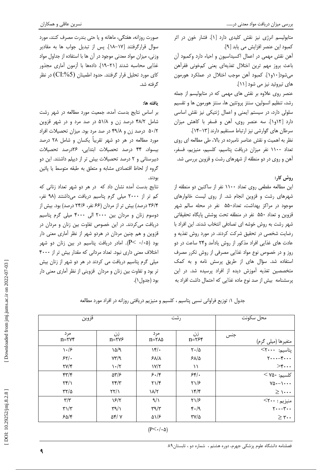متابولیسم انرژی نیز نقش کلیدی دارد [۱]. فشار خون در اثر كمبود اين عنصر افزايش مي يابد [٩]. آهن نقش مهمی در اعمال اکسیداسیون و احیاء دارد وکمبود آن باعث بروز مهم ترين اختلال تغذيهاى يعنى كمخونى فقرأهن میشود[۱۰و۱]. کمبود آهن موجب اختلال در عملکرد هورمون های تیروئید نیز می شود [۱۱]. عنصر روی علاوه بر نقش های مهمی که در متابولیسم از جمله

رشد، تنظیم انسولین، سنتز پروتئین ها، سنتز هورمون ها و تقسیم سلولی دارد، در سیستم ایمنی و اعمال ژنتیکی نیز نقش اساسی دارد [١٢و١]. سه عنصر روى، آهن و فسفر با كاهش ميزان سرطان های گوارشی نیز ارتباط مستقیم دارند [١٣-١۴].

نظر به اهمیت و نقش عناصر نامبرده در بالا، طی مطالعه ای روی تعداد ١١٠٠ نفر ميزان دريافت يتاسيم، كلسيم، منيزيم، فسفر، آهن و روی در دو منطقه از شهرهای رشت و قزوین بررسی شد.

# روش کار:

این مطالعه مقطعی روی تعداد ۱۱۰۰ نفر از ساکنین دو منطقه از شهرهای رشت و قزوین انجام شد. از روی لیست خانوارهای موجود در مراکز بهداشت، تعداد۵۵۰ نفر در محله سالم شهر قزوین و تعداد ۵۵۰ نفر در منطقه تحت پوشش پایگاه تحقیقاتی شهر رشت به روش خوشه ای تصادفی انتخاب شدند. این افراد با رضایت شخصی در تحقیق شرکت کردند. در مورد روش تغذیه و عادت های غذایی افراد مذکور از روش یادآمد و۲۴ ساعت در دو روز و در خصوص نوع مواد غذایی مصرفی از روش تکرر مصرف استفاده شد. سؤال های از طریق پرسش نامه و به کمک متخصصین تغذیه آموزش دیده از افراد پرسیده شد. در این یرسشنامه بیش از صد نوع ماده غذایی که احتمال داشت افراد به

صورت روزانه، هفتگی، ماهانه و یا حتی بندرت مصرف کنند، مورد سوال قرارگرفتند [١٧–١٨]. پس از تبدیل جواب ها به مقادیر وزنی، میزان مواد معدنی موجود در آن ها با استفاده از جداول مواد غذایی محاسبه شدند [۲۱–۱۹]. دادهها با آزمون آماری مجذور کای مورد تحلیل قرار گرفتند. حدود اطمینان (CI:%5) در نظر گرفته شد.

# يافته ها:

بر اساس نتایج بدست آمده، جمعیت مورد مطالعه در شهر رشت شامل ۴۸/۲ درصد زن و ۵۱/۸ در صد مرد و در شهر قزوین ۵۰/۲ درصد زن و ۴۹/۸ در صد مرد بود. میزان تحصیلات افراد مورد مطالعه در هر دو شهر تقریباً یکسان و شامل ۲۸ درصد بیسواد، ۴۴ درصد تحصیلات ابتدایی، ۲۶درصد تحصیلات دبیرستانی و ۲ درصد تحصیلات بیش تر از دیپلم داشتند. این دو گروه از لحاظ اقتصادی مشابه و متعلق به طبقه متوسط یا پائین بودند.

نتایج بدست آمده نشان داد که در هر دو شهر تعداد زنانی که کم تر از ۲۰۰۰ میلی گرم پتاسیم دریافت میداشتند (۹۸ نفر، ۳۶/۴ درصد) بیش تر از مردان (۶۶ نفر، ۲۴/۶ درصد) بود. بیش از دوسوم زنان و مردان بین ۲۰۰۰ الی ۴۰۰۰ میلی گرم پتاسیم دریافت می کردند. در این خصوص تفاوت بین زنان و مردان در قزوین و هم چنین مردان در هردو شهر از نظر آماری معنی دار بود (P< ۰/۰۵). امادر دریافت پتاسیم در بین زنان دو شهر اختلاف معنی داری نبود. تعداد مردانی که مقدار بیش تر از ۴۰۰۰ میلی گرم پتاسیم دریافت می کردند در هر دو شهر از زنان بیش تر بود و تفاوت بین زنان و مردان ِ قزوینی از نظر آماری معنی دار بود (جدول ۱).

| محل سكونت                                   |                                     | رشت                            | قزوين                             |                                          |
|---------------------------------------------|-------------------------------------|--------------------------------|-----------------------------------|------------------------------------------|
| جنس                                         | زن<br>$n = \tau \epsilon$ ۴         | مر د<br>$n = r \lambda \Delta$ | زن<br>$n = r \vee r$              | مر د<br>$n = rvr$                        |
| متغیرها (میل <i>ی گرم)</i><br>پتاسیم: ۲۰۰۰> | $Y \cdot / \Delta$                  | $\sqrt{r}/r$                   | 10/9                              | $\lambda \cdot 15$                       |
| $\gamma$ - $\gamma$                         | $S$ $\Lambda/\Delta$                | $5\lambda/\lambda$             | $YY/\mathcal{A}$                  | 55/                                      |
| $>\epsilon$                                 | $\lambda$                           | V/T                            | $\mathcal{N} \cdot / \mathcal{N}$ | $\Upsilon V/\Upsilon$                    |
| کلسیم: ۷۵۰ >                                | 55.                                 | 5.18                           | $\Delta \mathbf{Y}/\mathbf{P}$    | $\mathfrak{f} \mathfrak{r}/\mathfrak{f}$ |
| $Y\Delta - \lambda \cdot \cdot$             | $\frac{1}{2}$                       | $\Upsilon \Upsilon$            | $\Upsilon \Upsilon / \Upsilon$    | $\Upsilon(\gamma)$                       |
| $\geq \cdots$                               | 15/5                                | $\lambda/\tau$                 | $\frac{1}{2}$                     | $\tau\tau/\Delta$                        |
|                                             | $\gamma$                            | 9/1                            | $\frac{5}{7}$                     | $\mathbf{r}/\mathbf{r}$                  |
| منیزیم : ۲۰۰>><br>۲۰۰-۲۰۰                   | $\mathfrak{r} \cdot / \mathfrak{q}$ | $\tau$ 9/ $\tau$               | $\Gamma(\gamma)$                  | $\mathbf{r}\mathbf{1}/\mathbf{r}$        |
| $\geq r \cdot$                              | $\mathsf{r}\mathsf{v}/\mathsf{a}$   | ۵۱/۶                           | $\Delta f / V$                    | 50/5                                     |

جدول ۱: توزیع فراوانی نسبی پتاسیم ، کلسیم و منیزیم دریافتی روزانه در افراد مورد مطالعه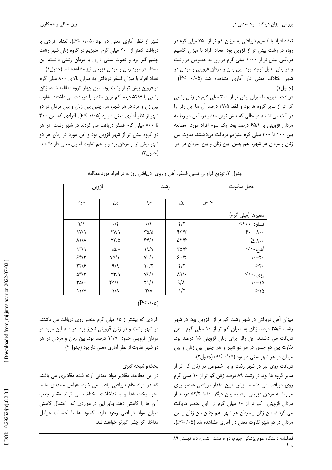تعداد افراد با کلسیم دریافتی به میزان کم تر از ۷۵۰ میلی گرم در روز، در رشت بیش تر از قزوین بود. تعداد افراد با میزان کلسیم دریافتی بیش تر از ۱۰۰۰ میلی گرم در روز به خصوص در رشت و در زنان قابل توجه نبود. بین زنان و مردان قزوینی و مردان دو شهر اختلاف معنی دار آماری مشاهده شد (P< ۰/۰۵ (جدول ۱).

دریافت منیزیم با میزان بیش تر از ۳۰۰ میلی گرم در زنان رشتی کم تر از سایر گروه ها بود و فقط ۳۷/۵ درصد آن ها این رقم را دریافت میداشتند در حالی که بیش ترین مقدار دریافتی مربوط به مردان قزوینی با ۶۵/۴ درصد بود. یک سوم افراد مورد ًمطالعه بین ۲۰۰ تا ۳۰۰ میلی گرم منیزیم دریافت میداشتند. تفاوت بین زنان و مردان هر شهر، هم چنین بین زنان و بین مردان در دو

شهر از نظر آماری معنی دار بود (۰/۰۵ >P). تعداد افرادی با دریافت کمتر از ۲۰۰ میلی گرم منیزیم در گروه زنان شهر رشت چشم گیر بود و تفاوت معنی داری با مردان رشتی داشت. این مسئله در مورد زنان و مردان قزوینی نیز مشاهده شد (جدول۱). تعداد افراد با میزان فسفر دریافتی به میزان بالای ۸۰۰ میلی گرم در قزوین بیش تر از رشت بود. بین چهار گروه مطالعه شده، زنان رشتی با ۵۲/۶ درصدکم ترین مقدار را دریافت می داشتند. تفاوت بین زن و مرد در هر شهر، هم چنین بین زنان و بین مردان در دو شهر از نظر آماری معنی داربود (۰/۰۵- P). افرادی که بین ۴۰۰ تا ۸۰۰ میلی گرم فسفر دریافت می کردند در شهر رشت در هر دو گروه بیش تر از شهر قزوین بود و این مورد در زنان هر دو شهر بیش تر از مردان بود و با هم تفاوت آماری معنی دار داشتند.  $(\tau, \tau)$ جدول).

|                                | قروين                 |                                   | رشت                                     |     | محل سكونت                                |
|--------------------------------|-----------------------|-----------------------------------|-----------------------------------------|-----|------------------------------------------|
| مرد                            | زن                    | مرد                               | زن                                      | جنس |                                          |
|                                |                       |                                   |                                         |     |                                          |
| $\frac{1}{2}$                  | $\cdot$ /۴            | $\cdot$ /۴                        | $\mathbf{f}/\mathbf{r}$                 |     | متغیرها (میل <i>ی گرم)</i><br>فسفر: ۴۰۰> |
| $\frac{\gamma}{\gamma}$        | $\Upsilon V/\Upsilon$ | $\sqrt{a}/a$                      | $\mathfrak{r}\mathfrak{r}/\mathfrak{r}$ |     | $\mathfrak{r}\cdots\mathfrak{r}\cdots$   |
| $\lambda \frac{1}{\lambda}$    | $YY/\Delta$           | 55/1                              | $\Delta Y/S$                            |     | $\geq \Lambda \cdot \cdot$               |
| $\frac{1}{\sqrt{2}}$           | $\Delta$              | 19/                               | $\sqrt{2}$                              |     | آهن:۱۰>                                  |
| 55/7                           | $Y\Delta/\lambda$     | $V \cdot / \cdot$                 | 5.17                                    |     | $\mathcal{N}$                            |
| ۲۲/۶                           | ۹/۹                   | $\mathcal{N} \cdot / \mathcal{N}$ | $\mathbf{f}/\mathbf{f}$                 |     | $>\tau$ .                                |
| $\Delta \mathbf{Y}/\mathbf{Y}$ | $Y^{\prime\prime}/V$  | Y5/1                              | $\lambda$ 9/ $\cdot$                    |     | $<$ روی :۱۰                              |
| $\sqrt{\Delta}/\cdot$          | $\frac{1}{2}$         | $\frac{1}{2}$                     | $\lambda/\lambda$                       |     | $\lambda - \lambda \Delta$               |
| $\frac{1}{\sqrt{2}}$           | $\lambda/\lambda$     | $\frac{1}{\sqrt{2}}$              | $1/\zeta$                               |     | $>$ 14                                   |

|  | جدول ۲: توزیع فراوانی نسبی فسفر، آهن و روی دریافتی روزانه در افراد مورد مطالعه |
|--|--------------------------------------------------------------------------------|
|--|--------------------------------------------------------------------------------|

 $(P<\cdot/\cdot \Delta)$ 

میزان آهن دریافتی در شهر رشت کم تر از قزوین بود. در شهر رشت ۳۵/۶ درصد زنان به میزان کم تر از ۱۰ میلی گرم  $\,$ هن دریافت می داشتند. این رقم برای زنان قزوینی ۱۵ درصد بود. تفاوت بین دو جنس در هر دو شهر و هم چنین بین زنان و بین مردان در هر شهر معنی دار بود (P< ۰/۰۵) (جدول۲).

دریافت روی نیز در شهر رشت و به خصوص در زنان کم تر از سایر گروه ها بود. در رشت ۸۹ درصد زنان کم تر از ۱۰ میلی گرم روی دریافت می داشتند. بیش ترین مقدار دریافتی عنصر روی مربوط به مردان قزوینی بود، به بیان دیگر فقط ۵۳/۳ درصد از مردان قزوینی کم تر از ۱۰ میلی گرم از این عنصر دریافت می کردند. بین زنان و مردان هر شهر، هم چنین بین زنان و بین مردان در دو شهر تفاوت معنی دار آماری مشاهده شد (P<۰/۰۵).

افرادی که بیشتر از ۱۵ میلی گرم عنصر روی دریافت می داشتند در شهر رشت و در زنان قزوینی ناچیز بود. در صد این مورد در مردان قزوینی حدود ۱۱/۷ درصد بود. بین زنان و مردان در هر دو شهر تفاوت از نظر آماری معنی دار بود (جدول۲).

# **بحث و نتیجه گیری:**

در این مطالعه، مقادیر مواد معدنی ارائه شده مقادیری می باشند که در مواد خام دریافتی یافت می شود. عوامل متعددی مانند نحوه پخت غذا و یا تداخلات مختلف، می تواند مقدار جذب ن ها را کاهش دهد. بنابر این در مواردی که احتمال کاهش Ī میزان مواد دریافتی وجود دارد، کمبود ها با احتساب عوامل مداخله گر چشم گیرتر خواهند شد.

 $\mathbf{\hat{}}$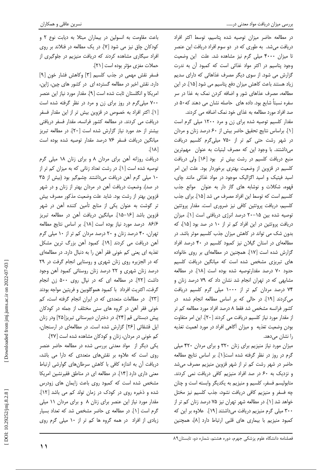در مطالعه حاضر ميزان توصيه شده پتاسيم، توسط اكثر افراد دریافت میشد. به طوری که در دو سوم افراد دریافت این عنصر تا میزان ۴۰۰۰ میلی گرم نیز مشاهده شد. علت این وضعیت وجود پتاسيم در اکثر مواد غذائي است که کمبود آن به ندرت گزارش می شود. از سوی دیگر مصرف غذاهائی که دارای سدیم زیاد هستند باعث کاهش میزان دفع پتاسیم می شود [۱۵]. در این مطالعه، مصرف عذاهای شور و اضافه کردن نمک به غذا در سر سفره نسبتاً شایع بود. داده های حاصله نشان می دهند که۵۰ در صد افراد مورد مطالعه به غذای خود نمک اضافه می کردند.

مقدار کلسیم توصیه شده برای زن و مرد ۱۲۰۰ میلی گرم است [١]. براساس نتايج تحقيق حاضر بيش از ۶۰ درصد زنان و مردان در شهر رشت حتى كم تر از ۷۵۰ ميلي گرم كلسيم دريافت می داشتند. با وجود این که مصرف لبنیات به عنوان مهمترین منبع دریافت کلسیم در رشت بیش تر بود [۱۶] ولی دریافت کلسیم در قزوین از وضعیت بهتری برخوردار بود. علت این امر اسید فیتیک و اسید اگزالیک موجود در مواد غذائی مانند چای، قهوه، شكلات و نوشابه هاى گاز دار به عنوان موانع جذب كلسيم است كه توسط اين افراد مصرف مي شد [١٥]. براي جذب كلسيم، دريافت پروتئين كافي نيز ضرورى است. مقدار پروتئين توصيه شده بين ١۵-٢٠ درصد انرژى دريافتى است [١]. ميزان دریافت پروتئین در این افراد کم تر از ۱۰ در صد بود [۱۵]، که بدون شک می تواند در کاهش میزان جذب کلسیم موثر باشد. در مطالعهای در استان گیلان نیز کمبود کلسیم در ۴۰ درصد افراد گزارش شده است [١٧]. همچنین در مطالعهای بر روی خانواده های تبریزی مشخص شده است که میانگین دریافت کلسیم حدود ۷۰ درصد مقدارتوصیه شده بوده است [۱۸]. در مطالعه مشابهی که در تهران انجام شد نشان داد که ۷۹ درصد زنان و ۷۴ درصد مردان کم تر از ۱۰۰۰ میلی گرم کلسیم دریافت می کردند [١٩]. در حالی که بر اساس مطالعه انجام شده در کشور فرانسه مشخص شد فقط ۸ درصد افراد مورد مطالعه کم تر از مقدار مورد نیاز کلسیم دریافت می کردند [ ٢٠]. این امر متفاوت بودن وضعیت تغذیه و میزان آگاهی افراد در مورد اهمیت تغذیه را نشان مے دھد.

میزان مورد نیاز منیزیم برای زنان ۳۲۰ و برای مردان ۴۲۰ میلی گرم در روز در نظر گرفته شده است[۱]. بر اساس نتایج مطالعه حاضر در شهر رشت کم تر از شهر قزوین منیزیم مصرف می شد و نزدیک به ۶۰ در صد افراد منیزیم کافی دریافت نمی کردند. متابولیسم فسفر، کلسیم و منیزیم به یکدیگر وابسته است و چنان چه فسفر و منیزیم کافی دریافت نشود، جذب کلسیم نیز مختل خواهد شد [۱]. در مطالعه شهر تهران نیز ۷۵ درصد زنان کم تر از ۳۰۰ میلی گرم منیزیم دریافت میداشتند [۱۹]. علاوه بر این که كمبود منيزيم با بيمارى هاى قلبى ارتباط دارد [٨]، همچنين

باعث مقاومت به انسولین در بیماران مبتلا به دیابت نوع ٢ و کودکان چاق نیز می شود [۷]. در یک مطالعه در فنلاند بر روی افراد سیگاری مشاهده کردند که دریافت منیزیم در جلوگیری از حملات مغزى مؤثر بوده است [٢١].

فسفر نقش مهمی در جذب کلسیم [۳] وکاهش فشار خون [۹] دارد. نقش اخیر در مطالعه گسترده ای در کشور های چین، ژاپن، امريكا و انگلستان ثابت شده است [۹]. مقدار مورد نياز اين عنصر ۷۰۰ میلیگرم در روز برای زن و مرد در نظر گرفته شده است [۱]. اکثر افراد به خصوص در قزوین بیش تر از این مقدار فسفر دریافت می کردند. در مطالعه کشور فرانسه، مقدار فسفر دریافتی بیشتر از حد مورد نیاز گزارش شده است [۲۰]. در مطالعه تبریز میانگین دریافت فسفر ۷۶ درصد مقدار توصیه شده بوده است  $\sqrt{\lambda}$ 

دریافت روزانه آهن برای مردان ۸ و برای زنان ۱۸ میلی گرم توصیه شده است [۱]. در رشت تعداد زنانی که به میزان کم تر از ۱۰ میلی گرم آهن دریافت میداشتند چشمگیر بود (بیش از ۳۵ در صد). وضعیت دریافت آهن در مردان بهتر از زنان و در شهر قزوين بهتر از رشت بود. شايد علت وضعيت مذكور مصرف بيش تر گوشت به عنوان یکی از منابع تأمین کننده آهن در شهر قزوين باشد [١۶–١۵]. ميانگين دريافت أهن در مطالعه تبريز ۸۶/۶ درصد مورد نیاز بوده است [۱۸]. بر اساس نتایج مطالعه تهران، ۴۰ درصد زنان و ۲۰ درصد مردان کم تر از ۱۰ میلی گرم آهن دريافت مي كردند [١٩]. كمبود آهن بزرگ ترين مشكل تغذیه ای یعنی کم خونی فقر آهن را به دنبال دارد. در مطالعهای که در الجزیره روی زنان شهری و روستایی انجام گرفت در ۲۹ درصد زنان شهری و ۲۲ درصد زنان روستائی کمبود آهن وجود داشت [٢٢]. در مطالعه ای که در نپال روی ۵۰۰ زن انجام گرفت، اکثریت افرداد با کمبود هموگلوبین و فریتین مواجه بودند [٢٣]. در مطالعات متعددی که در ایران انجام گرفته است، کم خونی فقر آهن در گروه های سنی مختلف از جمله در کودکان پیش دبستانی قم [۲۴]، در دختران دبیرستانی تبریز[۲۵] ودر زنان ایل قشقائی [۲۶] گزارش شده است. در مطالعهای در ارسنجان،

کم خونی در مردان، زنان و کودکان مشاهده شده است [۲۷]. یکی دیگر از مواد معدنی بررسی شده در مطالعه حاضر عنصر روی است که علاوه بر نقشهای متعددی که دارا می باشد، دریافت آن به اندازه کافی با کاهش سرطانهای گوارشی ارتباط معنی داری دارد [۱۴]. در مطالعه ای در مناطق فقیرنشین امریکا مشخص شده است که کمبود روی باعث زایمان های زودرس شده و ذخیره روی در کودک در زمان تولد کم می باشد [۱۲]. مقدار مورد نیاز این عنصر برای زنان ۸ و برای مردان ۱۱ میلی گرم است [۱]. در مطالعه ی حاضر مشخص شد که تعداد بسیار زیادی از افراد در همه گروه ها کم تر از ۱۰ میلی گرم روی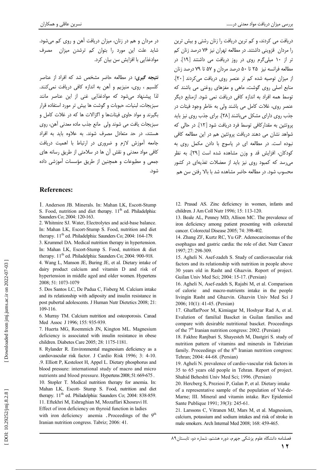در مردان و هم در زنان، میزان دریافت آهن و روی کم میشود. شاید علت این مورد را بتوان کم ترشدن میزان مصرف موادغذایی با افزایش سن بیان کرد.

**نتیجه گیری:** در مطالعه حاضر مشخص شد که افراد از عناصر کلسیم ، روی، منیزیم و آهن به اندازه کافی دریافت نمی کنند. لذا پیشنهاد میشود که موادغذایی غنی از این عناصر مانند سبزيجات، لبنيات، حبوبات وكوشت ها بيش تر مورد استفاده قرار بگیرند و مواد حاوی فیتاتها و اگزالات ها که در غلات کامل و سبزيجات يافت مي شوند ولي مانع جذب ماده معدني آهن، روى هستند، در حد متعادل مصرف شوند. به علاوه باید به افراد جامعه آموزش لازم و ضروری در ارتباط با اهمیت دریافت کافی مواد معدنی و نقش آن ها در سلامتی از طریق رسانه های جمعی و مطبوعات و همچنین از طریق مؤسسات آموزشی داده شود.

## **References:**

1. Anderson JB. Minerals. In: Mahan LK, Escott-Stump S. Food, nutrition and diet therapy. 11<sup>th</sup> ed. Philadelphia: Saunders Co; 2004: 120-163.

2. Whitmire SJ. Water, Electrolytes and acid-base balance. In: Mahan LK, Escort-Stump S. Food, nutrition and diet therapy. 11<sup>th</sup> ed. Philadelphia: Saunders Co; 2004: 164-179.

3. Krummel DA. Medical nutrition therapy in hypertension. In: Mahan LK, Escort-Stump S. Food, nutrition & diet therapy. 11<sup>th</sup> ed. Philadelphia: Saunders Co; 2004: 900-918.

4. Wang L, Manson JE, Buring JE, et al. Dietary intake of dairy product calcium and vitamin D and risk of hypertension in middle aged and older women. Hypertens 2008; 51: 1073-1079

5. Dos Santos LC, De Padua C, Fisberg M. Calcium intake and its relationship with adiposity and insulin resistance in post pubertal adolescents. J Human Nutr Dietetics 2008; 21: 109-116.

6. Murray TM. Calcium nutrition and osteoporosis. Canad Med Assoc J 1996: 155: 935-939.

7. Huerta MG, Roemmich JN, Kington ML. Magnesium deficiency is associated with insulin resistance in obese children. Diabetes Care 2005; 28: 1175-1181.

8. Rylander R. Environmental magnesium deficiency as a cardiovascular risk factor. J Cardio Risk 1996; 3: 4-10. .9. Elliott P, Kesteloot H, Appel L. Dietary phosphorus and blood pressure: international study of macro and micro nutrients and blood pressure. Hypertens 2008; 51: 669-675. 10. Stopler T. Medical nutrition therapy for anemia. In: Mahan LK, Escott- Stump S. Food, nutrition and diet therapy. 11<sup>th</sup> ed. Philadelphia: Saunders Co; 2004: 838-859. 11. Eftekhri M, Eshraghian M, Mozaffari Khosravi H. Effect of iron deficiency on thyroid function in ladies with iron deficiency anemia . Proceedings of the 9<sup>th</sup> Iranian nutrition congress. Tabriz; 2006: 41.

دریافت می کردند، و کم ترین دریافت را زنان رشتی و بیش ترین را مردان قزوینی داشتند. در مطالعه تهران نیز ۷۶ درصد زنان کم تر از ۱۰ میلی گرم روی در روز دریافت می داشتند [۱۹]. در مطالعه فرانسه نیز ۲۵ تا ۵۰ درصد مردان و ۵۷ تا ۷۹ درصد زنان از میزان توصیه شده کم تر عنصر روی دریافت می کردند [۲۰]. منابع اصلی روی گوشت، ماهی و مغزهای روغنی می باشند که توسط همه افراد به اندازه كافى دريافت نمى شود. ازمنابع ديگر عنصر روى، غلات كامل مى باشند ولى به خاطر وجود فيتات در جذب روی دارای مشکل می باشند [۲۸]. برای جذب روی نیز باید پروتئین به مقدارکافی توسط فرد دریافت شود [١٢]. در حالی که شواهد نشان می دهند دریافت پروتئین هم در این مطالعه کافی نبوده است. در مطالعه ای در یاسوج با دادن مکمل روی به كودكان، افزايش قد و وزن مشاهده شده است [٢٩]. به نظر <sub>می،</sub>رسد که کمبود روی نیز باید از معضلات تغذیهای در کشور محسوب شود. در مطالعه حاضر مشاهده شد با بالا رفتن سن هم

12. Prasad AS. Zinc deficiency in women, infants and children. J Am Coll Nutr 1996; 15: 113-120.

13. Beale AL, Penney MD, Allison MC. The prevalence of iron deficiency among patient presenting with colorectal cancer. Colorectal Disease 2005; 74: 398-402.

14. Zhang ZF, Kurtz RC, Yu GP. Adenocarcinomas of the esophagus and gastric cardia: the role of diet. Nutr Cancer 1997; 27: 298-309.

15. Agheli N. Asef-zadeh S. Study of cardiovascular risk factors and its relationship with nutrition in people above 30 years old in Rasht and Ghazvin. Report of project. Guilan Univ Med Sci; 2004: 15-17. (Persian)

16. Agheli N. Asef-zadeh S. Rajabi M. et al. Comparison of calorie and macro-nutrients intake in the people livingin Rasht and Ghazvin. Ghazvin Univ Med Sci J 2006; 10(1): 41-45. (Persian)

17. GhaffarPoor M, Kimiagar M, Hoshyar Rad A, et al. Evalution of familial Bascket in Guilan families and compare with desirable nutritional bascket. Proceedings of the 7<sup>th</sup> Iranian nutrition congress: 2002. (Persian)

18. Fakhre Ranjbari S, Shayesteh M, Dastgiri S, study of nutrition pattern of vitamins and minerals in Tabrizian family. Proceedings of the  $8<sup>th</sup>$  Iranian nutrition congress: Tehran; 2004: 44-68. (Persian)

19. Agheli N. prevalence of cardio-vascular risk factors in 35 to 65 years old people in Tehran. Report of project. Shahid Beheshti Univ Med Sci; 1996. (Persian)

20. Hercberg S. Preziosi P. Galan P. et al. Dietary intake of a representative sample of the population of Val-de-Marne; III. Mineral and vitamin intake. Rev Epidemiol Sante Publique 1991; 39(3): 245-61.

21. Larssons C, Vitranen MJ, Mars M, et al. Magnesium, calcium, potassium and sodium intakes and risk of stroke in male smokers. Arch Internal Med 2008; 168: 459-465.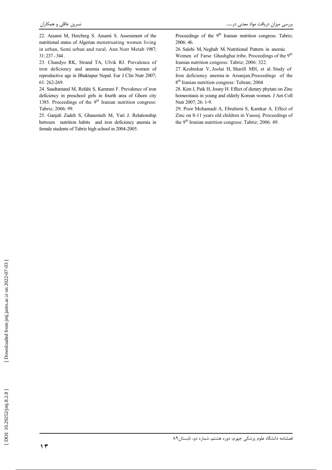22. Assami M, Hercberg S. Assami S. Assessment of the nutritional status of Algerian menstruating women living in urban, Semi urban and rural. Ann Nutr Metab 1987;  $31:237 - 344$ .

23. Chandyo RK, Strand TA, Ulvik RJ. Prevalence of iron deficiency and anemia among healthy women of reproductive age in Bhaktapur Nepal. Eur J Clin Nutr 2007; 61:262-269.

24. Saadtamand M, Refahi S, Kamrani F. Prevalence of iron deficiency in preschool girls in fourth area of Ghom city 1385. Proceedings of the  $9<sup>th</sup>$  Iranian nutrition congress: Tabriz; 2006: 99.

25. Ganjali Zadeh S, Ghasemieh M, Yari J. Relationship between nutrition habits and iron deficiency anemia in female students of Tabriz high school in 2004-2005.

Proceedings of the 9<sup>th</sup> Iranian nutrition congress: Tabriz: 2006: 46.

26. Salehi M, Neghab M. Nutritional Pattern in anemic Women of Farse Ghashghai tribe. Proceedings of the 9<sup>th</sup> Iranian nutrition congress: Tabriz; 2006: 322.

27. Keshtekar V, Joolai H, Sharifi MH, et al. Study of Iron deficiency anemia in Arsanjan.Proceedings of the 8<sup>th</sup> Iranian nutrition congress: Tehran; 2004

28. Kim J, Paik H, Jouny H. Effect of dietary phytate on Zinc homeostasis in young and elderly Korean women. J Am Coll Nutr 2007; 26: 1-9.

29. Poor Mohamadi A, Ebrahimi S, Kamkar A. Effect of Zinc on 8-11 years old children in Yasooj. Proceedings of the 9<sup>th</sup> Iranian nutrition congress: Tabriz; 2006: 49.